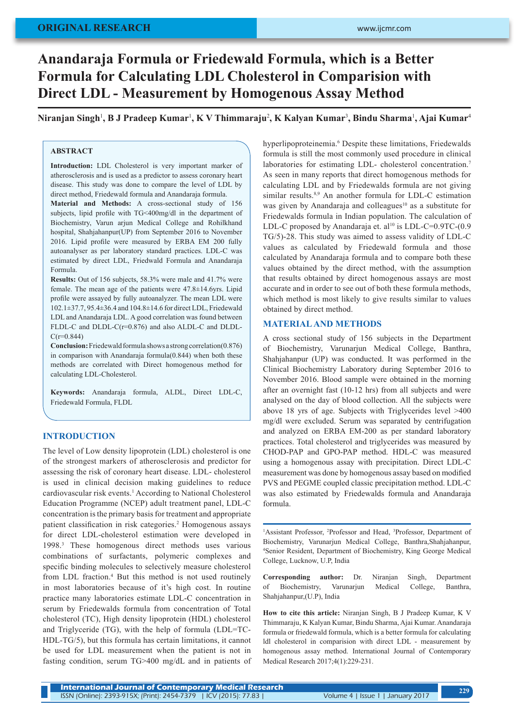# **ORIGINAL RESEARCH**

# **Anandaraja Formula or Friedewald Formula, which is a Better Formula for Calculating LDL Cholesterol in Comparision with Direct LDL - Measurement by Homogenous Assay Method**

**Niranjan Singh**<sup>1</sup> **, B J Pradeep Kumar**<sup>1</sup> **, K V Thimmaraju**<sup>2</sup> **, K Kalyan Kumar**<sup>3</sup> **, Bindu Sharma**<sup>1</sup> **, Ajai Kumar**<sup>4</sup>

## **ABSTRACT**

**Introduction:** LDL Cholesterol is very important marker of atherosclerosis and is used as a predictor to assess coronary heart disease. This study was done to compare the level of LDL by direct method, Friedewald formula and Anandaraja formula.

**Material and Methods:** A cross-sectional study of 156 subjects, lipid profile with TG<400mg/dl in the department of Biochemistry, Varun arjun Medical College and Rohilkhand hospital, Shahjahanpur(UP) from September 2016 to November 2016. Lipid profile were measured by ERBA EM 200 fully autoanalyser as per laboratory standard practices. LDL-C was estimated by direct LDL, Friedwald Formula and Anandaraja Formula.

**Results:** Out of 156 subjects, 58.3% were male and 41.7% were female. The mean age of the patients were 47.8±14.6yrs. Lipid profile were assayed by fully autoanalyzer. The mean LDL were 102.1±37.7, 95.4±36.4 and 104.8±14.6 for direct LDL, Friedewald LDL and Anandaraja LDL. A good correlation was found between FLDL-C and DLDL-C(r=0.876) and also ALDL-C and DLDL- $C(r=0.844)$ 

**Conclusion:** Friedewald formula shows a strong correlation(0.876) in comparison with Anandaraja formula(0.844) when both these methods are correlated with Direct homogenous method for calculating LDL-Cholesterol.

**Keywords:** Anandaraja formula, ALDL, Direct LDL-C, Friedewald Formula, FLDL

## **INTRODUCTION**

The level of Low density lipoprotein (LDL) cholesterol is one of the strongest markers of atherosclerosis and predictor for assessing the risk of coronary heart disease. LDL- cholesterol is used in clinical decision making guidelines to reduce cardiovascular risk events.<sup>1</sup> According to National Cholesterol Education Programme (NCEP) adult treatment panel, LDL-C concentration is the primary basis for treatment and appropriate patient classification in risk categories.<sup>2</sup> Homogenous assays for direct LDL-cholesterol estimation were developed in 1998.<sup>3</sup> These homogenous direct methods uses various combinations of surfactants, polymeric complexes and specific binding molecules to selectively measure cholesterol from LDL fraction.<sup>4</sup> But this method is not used routinely in most laboratories because of it's high cost. In routine practice many laboratories estimate LDL-C concentration in serum by Friedewalds formula from concentration of Total cholesterol (TC), High density lipoprotein (HDL) cholesterol and Triglyceride (TG), with the help of formula (LDL=TC-HDL-TG/5), but this formula has certain limitations, it cannot be used for LDL measurement when the patient is not in fasting condition, serum TG>400 mg/dL and in patients of

hyperlipoproteinemia.<sup>6</sup> Despite these limitations, Friedewalds formula is still the most commonly used procedure in clinical laboratories for estimating LDL- cholesterol concentration.<sup>7</sup> As seen in many reports that direct homogenous methods for calculating LDL and by Friedewalds formula are not giving similar results.<sup>8,9</sup> An another formula for LDL-C estimation was given by Anandaraja and colleagues<sup>10</sup> as a substitute for Friedewalds formula in Indian population. The calculation of LDL-C proposed by Anandaraja et. al<sup>10</sup> is LDL-C=0.9TC-(0.9 TG/5)-28. This study was aimed to assess validity of LDL-C values as calculated by Friedewald formula and those calculated by Anandaraja formula and to compare both these values obtained by the direct method, with the assumption that results obtained by direct homogenous assays are most accurate and in order to see out of both these formula methods, which method is most likely to give results similar to values obtained by direct method.

## **MATERIAL AND METHODS**

A cross sectional study of 156 subjects in the Department of Biochemistry, Varunarjun Medical College, Banthra, Shahjahanpur (UP) was conducted. It was performed in the Clinical Biochemistry Laboratory during September 2016 to November 2016. Blood sample were obtained in the morning after an overnight fast (10-12 hrs) from all subjects and were analysed on the day of blood collection. All the subjects were above 18 yrs of age. Subjects with Triglycerides level >400 mg/dl were excluded. Serum was separated by centrifugation and analyzed on ERBA EM-200 as per standard laboratory practices. Total cholesterol and triglycerides was measured by CHOD-PAP and GPO-PAP method. HDL-C was measured using a homogenous assay with precipitation. Direct LDL-C measurement was done by homogenous assay based on modified PVS and PEGME coupled classic precipitation method. LDL-C was also estimated by Friedewalds formula and Anandaraja formula.

<sup>1</sup>Assistant Professor, <sup>2</sup>Professor and Head, <sup>3</sup>Professor, Department of Biochemistry, Varunarjun Medical College, Banthra,Shahjahanpur, 4 Senior Resident, Department of Biochemistry, King George Medical College, Lucknow, U.P, India

**Corresponding author:** Dr. Niranjan Singh, Department of Biochemistry, Varunarjun Medical College, Banthra, Shahjahanpur,(U.P), India

**How to cite this article:** Niranjan Singh, B J Pradeep Kumar, K V Thimmaraju, K Kalyan Kumar, Bindu Sharma, Ajai Kumar. Anandaraja formula or friedewald formula, which is a better formula for calculating ldl cholesterol in comparision with direct LDL - measurement by homogenous assay method. International Journal of Contemporary Medical Research 2017;4(1):229-231.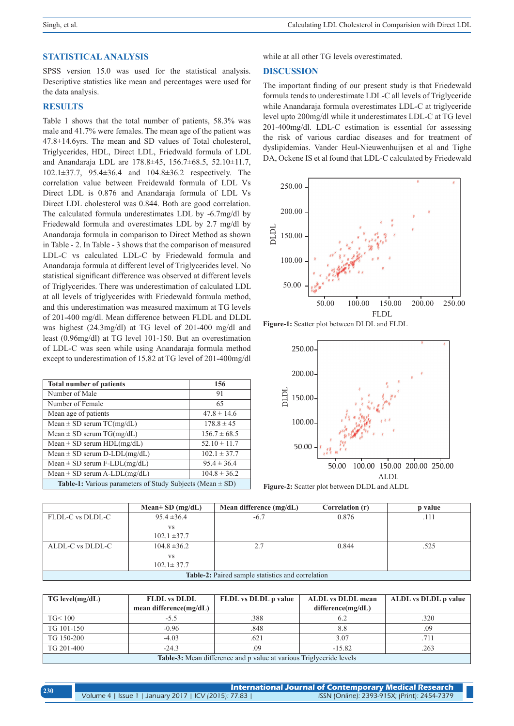#### **STATISTICAL ANALYSIS**

SPSS version 15.0 was used for the statistical analysis. Descriptive statistics like mean and percentages were used for the data analysis.

## **RESULTS**

Table 1 shows that the total number of patients, 58.3% was male and 41.7% were females. The mean age of the patient was 47.8±14.6yrs. The mean and SD values of Total cholesterol, Triglycerides, HDL, Direct LDL, Friedwald formula of LDL and Anandaraja LDL are 178.8±45, 156.7±68.5, 52.10±11.7, 102.1±37.7, 95.4±36.4 and 104.8±36.2 respectively. The correlation value between Freidewald formula of LDL Vs Direct LDL is 0.876 and Anandaraja formula of LDL Vs Direct LDL cholesterol was 0.844. Both are good correlation. The calculated formula underestimates LDL by -6.7mg/dl by Friedewald formula and overestimates LDL by 2.7 mg/dl by Anandaraja formula in comparison to Direct Method as shown in Table - 2. In Table - 3 shows that the comparison of measured LDL-C vs calculated LDL-C by Friedewald formula and Anandaraja formula at different level of Triglycerides level. No statistical significant difference was observed at different levels of Triglycerides. There was underestimation of calculated LDL at all levels of triglycerides with Friedewald formula method, and this underestimation was measured maximum at TG levels of 201-400 mg/dl. Mean difference between FLDL and DLDL was highest (24.3mg/dl) at TG level of 201-400 mg/dl and least (0.96mg/dl) at TG level 101-150. But an overestimation of LDL-C was seen while using Anandaraja formula method except to underestimation of 15.82 at TG level of 201-400mg/dl

| <b>Total number of patients</b>                                      | 156              |  |
|----------------------------------------------------------------------|------------------|--|
| Number of Male                                                       | 91               |  |
| Number of Female                                                     | 65               |  |
| Mean age of patients                                                 | $47.8 \pm 14.6$  |  |
| Mean $\pm$ SD serum TC(mg/dL)                                        | $178.8 \pm 45$   |  |
| Mean $\pm$ SD serum TG(mg/dL)                                        | $156.7 \pm 68.5$ |  |
| Mean $\pm$ SD serum HDL(mg/dL)                                       | $52.10 \pm 11.7$ |  |
| Mean $\pm$ SD serum D-LDL(mg/dL)                                     | $102.1 \pm 37.7$ |  |
| Mean $\pm$ SD serum F-LDL(mg/dL)                                     | $95.4 \pm 36.4$  |  |
| Mean $\pm$ SD serum A-LDL(mg/dL)                                     | $104.8 \pm 36.2$ |  |
| <b>Table-1:</b> Various parameters of Study Subjects (Mean $\pm$ SD) |                  |  |

while at all other TG levels overestimated.

### **DISCUSSION**

The important finding of our present study is that Friedewald formula tends to underestimate LDL-C all levels of Triglyceride while Anandaraja formula overestimates LDL-C at triglyceride level upto 200mg/dl while it underestimates LDL-C at TG level 201-400mg/dl. LDL-C estimation is essential for assessing the risk of various cardiac diseases and for treatment of dyslipidemias. Vander Heul-Nieuwenhuijsen et al and Tighe DA, Ockene IS et al found that LDL-C calculated by Friedewald



**Figure-1:** Scatter plot between DLDL and FLDL



**Figure-2:** Scatter plot between DLDL and ALDL

|                                                          | Mean $\pm$ SD (mg/dL) | Mean difference $(mg/dL)$ | Correlation (r) | p value |
|----------------------------------------------------------|-----------------------|---------------------------|-----------------|---------|
| FLDL-C vs DLDL-C                                         | $95.4 \pm 36.4$       | $-6.7$                    | 0.876           |         |
|                                                          | VS                    |                           |                 |         |
|                                                          | $102.1 \pm 37.7$      |                           |                 |         |
| ALDL-C vs DLDL-C                                         | $104.8 \pm 36.2$      | 2.7                       | 0.844           | .525    |
|                                                          | VS                    |                           |                 |         |
|                                                          | $102.1 \pm 37.7$      |                           |                 |         |
| <b>Table-2:</b> Paired sample statistics and correlation |                       |                           |                 |         |

| $TG$ level(mg/dL)                                                          | <b>FLDL</b> vs DLDL        | <b>FLDL</b> vs DLDL p value | <b>ALDL</b> vs DLDL mean | <b>ALDL</b> vs DLDL p value |
|----------------------------------------------------------------------------|----------------------------|-----------------------------|--------------------------|-----------------------------|
|                                                                            | mean difference( $mg/dL$ ) |                             | difference(mg/dL)        |                             |
| TG < 100                                                                   | -5.5                       | .388                        | 6.2                      | .320                        |
| TG 101-150                                                                 | $-0.96$                    | .848                        | 8.8                      | .09                         |
| TG 150-200                                                                 | $-4.03$                    | .621                        | 3.07                     | 711                         |
| TG 201-400                                                                 | $-24.3$                    | .09                         | $-15.82$                 | .263                        |
| <b>Table-3:</b> Mean difference and p value at various Triglyceride levels |                            |                             |                          |                             |

| 230 | <b>International Journal of Contemporary Medical Research</b> |                                              |
|-----|---------------------------------------------------------------|----------------------------------------------|
|     | Volume 4   Issue 1   January 2017   ICV (2015): 77.83         | ISSN (Online): 2393-915X; (Print): 2454-7379 |